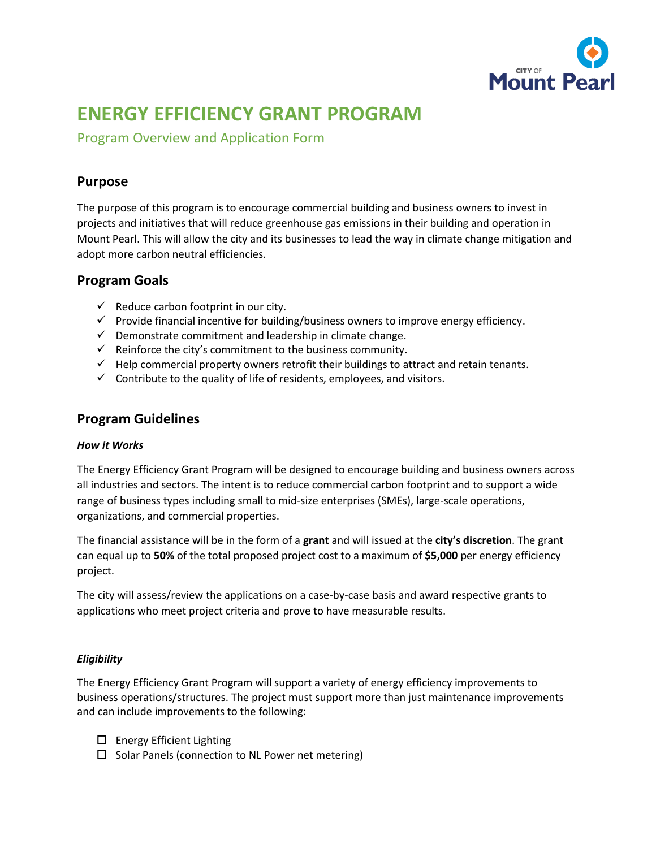

# **ENERGY EFFICIENCY GRANT PROGRAM**

Program Overview and Application Form

## **Purpose**

The purpose of this program is to encourage commercial building and business owners to invest in projects and initiatives that will reduce greenhouse gas emissions in their building and operation in Mount Pearl. This will allow the city and its businesses to lead the way in climate change mitigation and adopt more carbon neutral efficiencies.

### **Program Goals**

- $\checkmark$  Reduce carbon footprint in our city.
- $\checkmark$  Provide financial incentive for building/business owners to improve energy efficiency.
- $\checkmark$  Demonstrate commitment and leadership in climate change.
- $\checkmark$  Reinforce the city's commitment to the business community.
- $\checkmark$  Help commercial property owners retrofit their buildings to attract and retain tenants.
- $\checkmark$  Contribute to the quality of life of residents, employees, and visitors.

### **Program Guidelines**

### *How it Works*

The Energy Efficiency Grant Program will be designed to encourage building and business owners across all industries and sectors. The intent is to reduce commercial carbon footprint and to support a wide range of business types including small to mid-size enterprises (SMEs), large-scale operations, organizations, and commercial properties.

The financial assistance will be in the form of a **grant** and will issued at the **city's discretion**. The grant can equal up to **50%** of the total proposed project cost to a maximum of **\$5,000** per energy efficiency project.

The city will assess/review the applications on a case-by-case basis and award respective grants to applications who meet project criteria and prove to have measurable results.

### *Eligibility*

The Energy Efficiency Grant Program will support a variety of energy efficiency improvements to business operations/structures. The project must support more than just maintenance improvements and can include improvements to the following:

- □ Energy Efficient Lighting
- $\square$  Solar Panels (connection to NL Power net metering)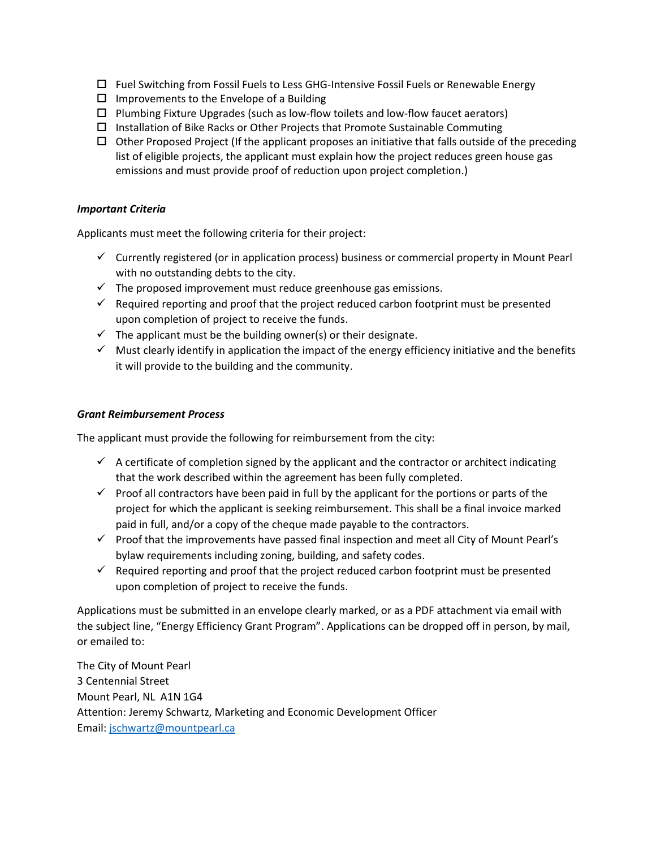- $\Box$  Fuel Switching from Fossil Fuels to Less GHG-Intensive Fossil Fuels or Renewable Energy
- $\Box$  Improvements to the Envelope of a Building
- $\Box$  Plumbing Fixture Upgrades (such as low-flow toilets and low-flow faucet aerators)
- $\Box$  Installation of Bike Racks or Other Projects that Promote Sustainable Commuting
- $\Box$  Other Proposed Project (If the applicant proposes an initiative that falls outside of the preceding list of eligible projects, the applicant must explain how the project reduces green house gas emissions and must provide proof of reduction upon project completion.)

### *Important Criteria*

Applicants must meet the following criteria for their project:

- $\checkmark$  Currently registered (or in application process) business or commercial property in Mount Pearl with no outstanding debts to the city.
- $\checkmark$  The proposed improvement must reduce greenhouse gas emissions.
- $\checkmark$  Required reporting and proof that the project reduced carbon footprint must be presented upon completion of project to receive the funds.
- $\checkmark$  The applicant must be the building owner(s) or their designate.
- ✓ Must clearly identify in application the impact of the energy efficiency initiative and the benefits it will provide to the building and the community.

#### *Grant Reimbursement Process*

The applicant must provide the following for reimbursement from the city:

- $\checkmark$  A certificate of completion signed by the applicant and the contractor or architect indicating that the work described within the agreement has been fully completed.
- $\checkmark$  Proof all contractors have been paid in full by the applicant for the portions or parts of the project for which the applicant is seeking reimbursement. This shall be a final invoice marked paid in full, and/or a copy of the cheque made payable to the contractors.
- $\checkmark$  Proof that the improvements have passed final inspection and meet all City of Mount Pearl's bylaw requirements including zoning, building, and safety codes.
- $\checkmark$  Required reporting and proof that the project reduced carbon footprint must be presented upon completion of project to receive the funds.

Applications must be submitted in an envelope clearly marked, or as a PDF attachment via email with the subject line, "Energy Efficiency Grant Program". Applications can be dropped off in person, by mail, or emailed to:

The City of Mount Pearl 3 Centennial Street Mount Pearl, NL A1N 1G4 Attention: Jeremy Schwartz, Marketing and Economic Development Officer Email: [jschwartz@mountpearl.ca](mailto:jschwartz@mountpearl.ca)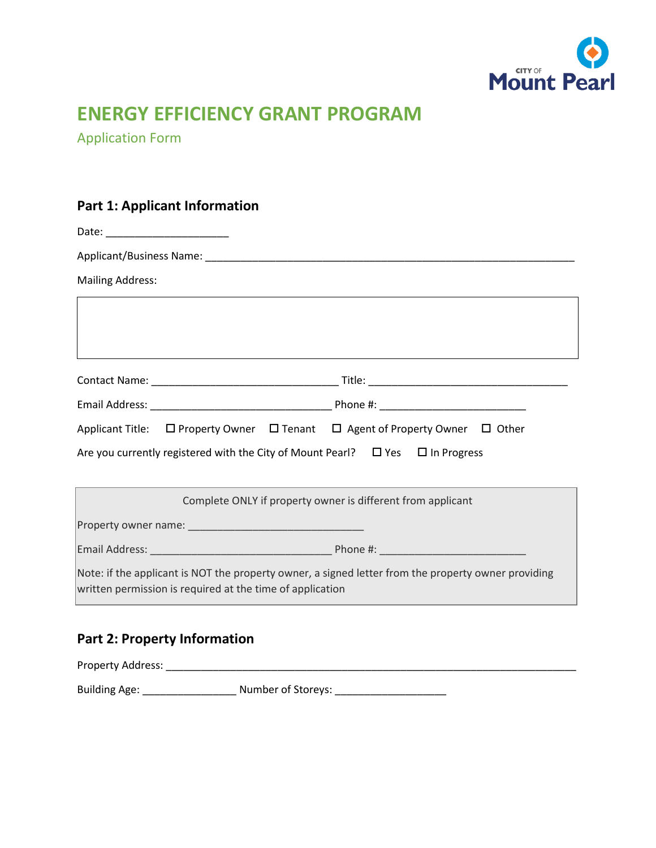

# **ENERGY EFFICIENCY GRANT PROGRAM**

Application Form

# **Part 1: Applicant Information**

| Date: _________________________                                                                                                                                  |
|------------------------------------------------------------------------------------------------------------------------------------------------------------------|
|                                                                                                                                                                  |
| <b>Mailing Address:</b>                                                                                                                                          |
|                                                                                                                                                                  |
|                                                                                                                                                                  |
|                                                                                                                                                                  |
|                                                                                                                                                                  |
|                                                                                                                                                                  |
| Applicant Title: $\Box$ Property Owner $\Box$ Tenant $\Box$ Agent of Property Owner $\Box$ Other                                                                 |
| Are you currently registered with the City of Mount Pearl? $\Box$ Yes $\Box$ In Progress                                                                         |
|                                                                                                                                                                  |
| Complete ONLY if property owner is different from applicant                                                                                                      |
|                                                                                                                                                                  |
|                                                                                                                                                                  |
| Note: if the applicant is NOT the property owner, a signed letter from the property owner providing<br>written permission is required at the time of application |

# **Part 2: Property Information**

Property Address: \_\_\_\_\_\_\_\_\_\_\_\_\_\_\_\_\_\_\_\_\_\_\_\_\_\_\_\_\_\_\_\_\_\_\_\_\_\_\_\_\_\_\_\_\_\_\_\_\_\_\_\_\_\_\_\_\_\_\_\_\_\_\_\_\_\_\_\_\_\_ Building Age: \_\_\_\_\_\_\_\_\_\_\_\_\_\_\_\_\_\_\_\_\_\_ Number of Storeys: \_\_\_\_\_\_\_\_\_\_\_\_\_\_\_\_\_\_\_\_\_\_\_\_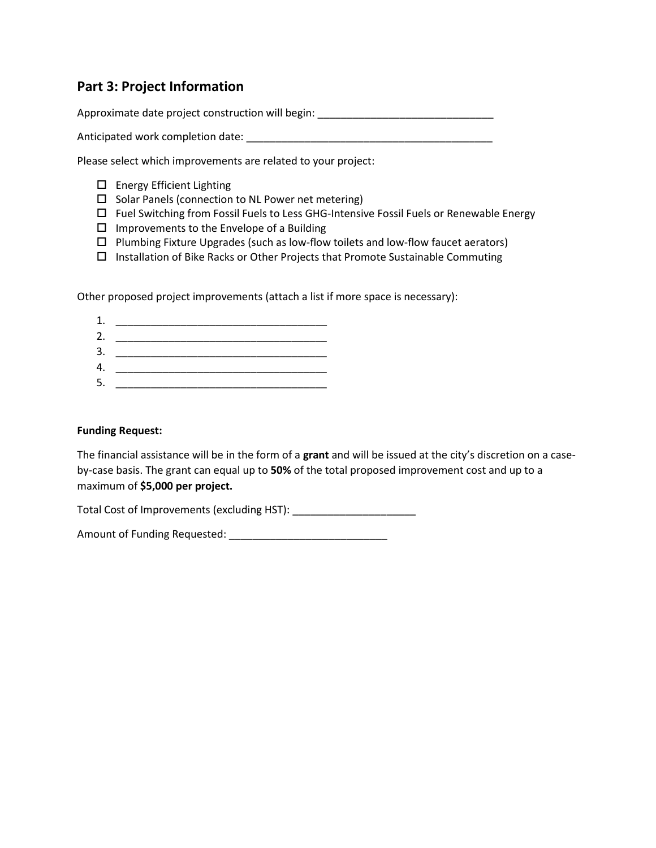## **Part 3: Project Information**

Approximate date project construction will begin: \_\_\_\_\_\_\_\_\_\_\_\_\_\_\_\_\_\_\_\_\_\_\_\_\_\_\_\_\_\_

Anticipated work completion date: \_\_\_\_\_\_\_\_\_\_\_\_\_\_\_\_\_\_\_\_\_\_\_\_\_\_\_\_\_\_\_\_\_\_\_\_\_\_\_\_\_\_

Please select which improvements are related to your project:

- □ Energy Efficient Lighting
- $\square$  Solar Panels (connection to NL Power net metering)
- $\Box$  Fuel Switching from Fossil Fuels to Less GHG-Intensive Fossil Fuels or Renewable Energy
- $\Box$  Improvements to the Envelope of a Building
- $\Box$  Plumbing Fixture Upgrades (such as low-flow toilets and low-flow faucet aerators)
- $\Box$  Installation of Bike Racks or Other Projects that Promote Sustainable Commuting

Other proposed project improvements (attach a list if more space is necessary):

1. \_\_\_\_\_\_\_\_\_\_\_\_\_\_\_\_\_\_\_\_\_\_\_\_\_\_\_\_\_\_\_\_\_\_\_\_ 2. \_\_\_\_\_\_\_\_\_\_\_\_\_\_\_\_\_\_\_\_\_\_\_\_\_\_\_\_\_\_\_\_\_\_\_\_ 3. \_\_\_\_\_\_\_\_\_\_\_\_\_\_\_\_\_\_\_\_\_\_\_\_\_\_\_\_\_\_\_\_\_\_\_\_ 4. \_\_\_\_\_\_\_\_\_\_\_\_\_\_\_\_\_\_\_\_\_\_\_\_\_\_\_\_\_\_\_\_\_\_\_\_

5. \_\_\_\_\_\_\_\_\_\_\_\_\_\_\_\_\_\_\_\_\_\_\_\_\_\_\_\_\_\_\_\_\_\_\_\_

### **Funding Request:**

The financial assistance will be in the form of a **grant** and will be issued at the city's discretion on a caseby-case basis. The grant can equal up to **50%** of the total proposed improvement cost and up to a maximum of **\$5,000 per project.**

Total Cost of Improvements (excluding HST): \_\_\_\_\_\_\_\_\_\_\_\_\_\_\_\_\_\_\_\_\_

Amount of Funding Requested: \_\_\_\_\_\_\_\_\_\_\_\_\_\_\_\_\_\_\_\_\_\_\_\_\_\_\_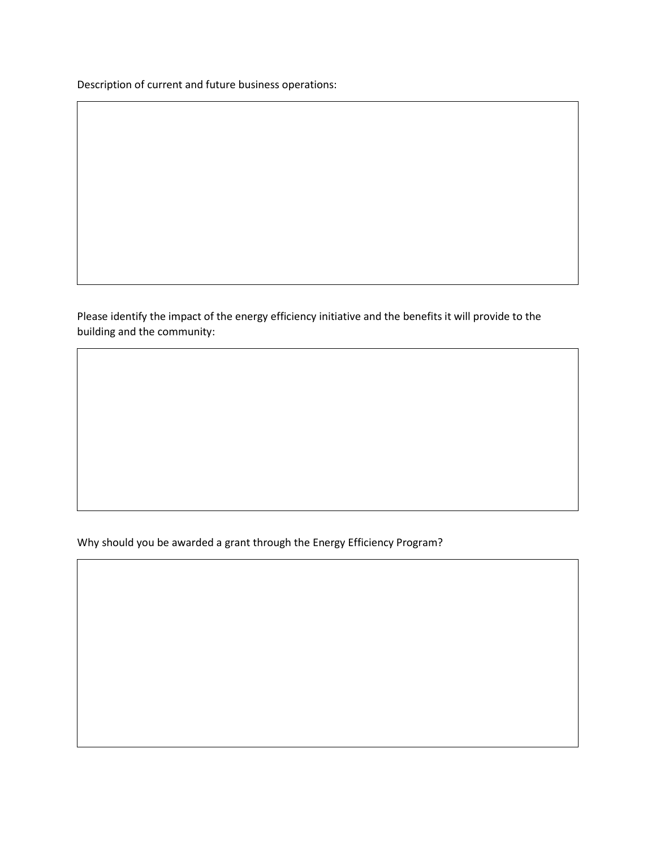Description of current and future business operations:

Please identify the impact of the energy efficiency initiative and the benefits it will provide to the building and the community:

Why should you be awarded a grant through the Energy Efficiency Program?